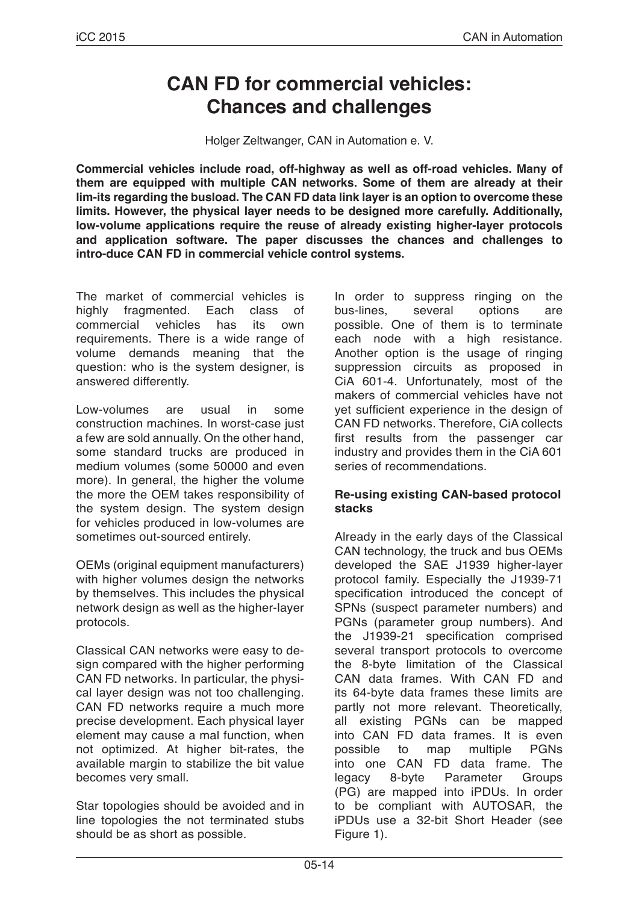# **CAN FD for commercial vehicles: Chances and challenges**

Holger Zeltwanger, CAN in Automation e. V.

**Commercial vehicles include road, off-highway as well as off-road vehicles. Many of them are equipped with multiple CAN networks. Some of them are already at their lim-its regarding the busload. The CAN FD data link layer is an option to overcome these limits. However, the physical layer needs to be designed more carefully. Additionally, low-volume applications require the reuse of already existing higher-layer protocols and application software. The paper discusses the chances and challenges to intro-duce CAN FD in commercial vehicle control systems.**

The market of commercial vehicles is highly fragmented. Each class of commercial vehicles has its own requirements. There is a wide range of volume demands meaning that the question: who is the system designer, is answered differently.

Low-volumes are usual in some construction machines. In worst-case just a few are sold annually. On the other hand, some standard trucks are produced in medium volumes (some 50000 and even more). In general, the higher the volume the more the OEM takes responsibility of the system design. The system design for vehicles produced in low-volumes are sometimes out-sourced entirely.

OEMs (original equipment manufacturers) with higher volumes design the networks by themselves. This includes the physical network design as well as the higher-layer protocols.

Classical CAN networks were easy to design compared with the higher performing CAN FD networks. In particular, the physical layer design was not too challenging. CAN FD networks require a much more precise development. Each physical layer element may cause a mal function, when not optimized. At higher bit-rates, the available margin to stabilize the bit value becomes very small.

Star topologies should be avoided and in line topologies the not terminated stubs should be as short as possible.

In order to suppress ringing on the<br>bus-lines. several options are bus-lines, several options are possible. One of them is to terminate each node with a high resistance. Another option is the usage of ringing suppression circuits as proposed in CiA 601-4. Unfortunately, most of the makers of commercial vehicles have not yet sufficient experience in the design of CAN FD networks. Therefore, CiA collects first results from the passenger car industry and provides them in the CiA 601 series of recommendations.

## **Re-using existing CAN-based protocol stacks**

Already in the early days of the Classical CAN technology, the truck and bus OEMs developed the SAE J1939 higher-layer protocol family. Especially the J1939-71 specification introduced the concept of SPNs (suspect parameter numbers) and PGNs (parameter group numbers). And the J1939-21 specification comprised several transport protocols to overcome the 8-byte limitation of the Classical CAN data frames. With CAN FD and its 64-byte data frames these limits are partly not more relevant. Theoretically, all existing PGNs can be mapped into CAN FD data frames. It is even<br>possible to map multiple PGNs possible to map multiple into one CAN FD data frame. The legacy 8-byte Parameter Groups (PG) are mapped into iPDUs. In order to be compliant with AUTOSAR, the iPDUs use a 32-bit Short Header (see Figure 1).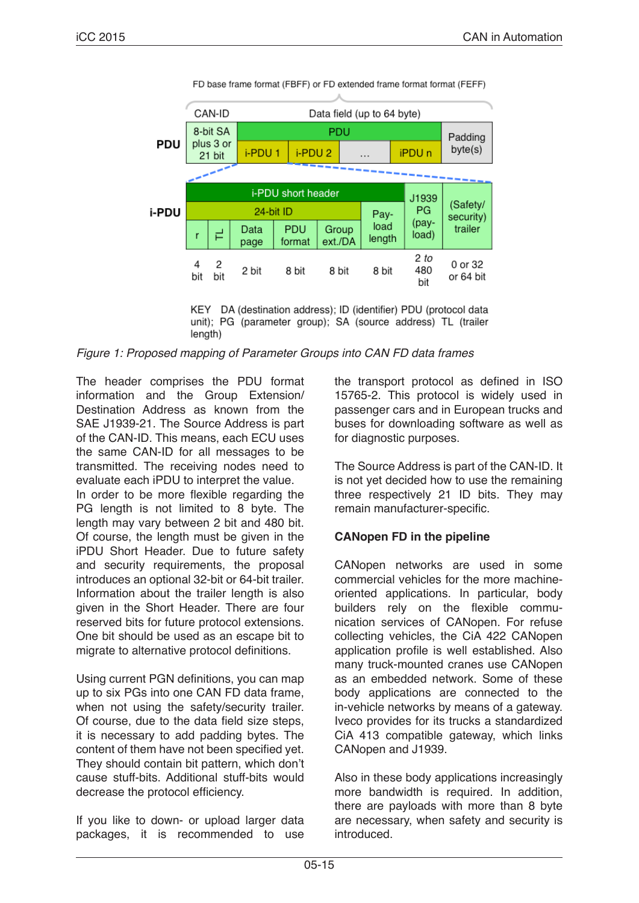|       | CAN-ID                          |          |                    | Data field (up to 64 byte) |                  |          |                   |                    |                                  |  |
|-------|---------------------------------|----------|--------------------|----------------------------|------------------|----------|-------------------|--------------------|----------------------------------|--|
|       | 8-bit SA<br>plus 3 or<br>21 bit |          |                    | PDU                        |                  |          |                   |                    | Padding                          |  |
| PDU   |                                 |          | i-PDU <sub>1</sub> | i-PDU <sub>2</sub>         |                  | $\cdots$ | iPDU <sub>n</sub> |                    | byte(s)                          |  |
|       |                                 |          |                    |                            |                  |          |                   |                    |                                  |  |
|       | i-PDU short header              |          |                    |                            |                  |          |                   | J1939              |                                  |  |
| i-PDU |                                 |          |                    | 24-bit ID                  |                  |          | Pay-              | PG.<br>(pay-       | (Safety/<br>security)<br>trailer |  |
|       | r                               | ᄅ        | Data<br>page       | <b>PDU</b><br>format       | Group<br>ext./DA |          | load<br>length    |                    |                                  |  |
|       | 4<br>bit                        | 2<br>bit | 2 bit              | 8 bit                      | 8 bit            | 8 bit    |                   | 2 to<br>480<br>bit | 0 or 32<br>or 64 bit             |  |

FD base frame format (FBFF) or FD extended frame format format (FEFF)

KEY DA (destination address); ID (identifier) PDU (protocol data unit); PG (parameter group); SA (source address) TL (trailer length)

*Figure 1: Proposed mapping of Parameter Groups into CAN FD data frames*

The header comprises the PDU format information and the Group Extension/ Destination Address as known from the SAE J1939-21. The Source Address is part of the CAN-ID. This means, each ECU uses the same CAN-ID for all messages to be transmitted. The receiving nodes need to evaluate each iPDU to interpret the value.

In order to be more flexible regarding the PG length is not limited to 8 byte. The length may vary between 2 bit and 480 bit. Of course, the length must be given in the iPDU Short Header. Due to future safety and security requirements, the proposal introduces an optional 32-bit or 64-bit trailer. Information about the trailer length is also given in the Short Header. There are four reserved bits for future protocol extensions. One bit should be used as an escape bit to migrate to alternative protocol definitions.

Using current PGN definitions, you can map up to six PGs into one CAN FD data frame, when not using the safety/security trailer. Of course, due to the data field size steps, it is necessary to add padding bytes. The content of them have not been specified yet. They should contain bit pattern, which don't cause stuff-bits. Additional stuff-bits would decrease the protocol efficiency.

If you like to down- or upload larger data packages, it is recommended to use the transport protocol as defined in ISO 15765-2. This protocol is widely used in passenger cars and in European trucks and buses for downloading software as well as for diagnostic purposes.

The Source Address is part of the CAN-ID. It is not yet decided how to use the remaining three respectively 21 ID bits. They may remain manufacturer-specific.

# **CANopen FD in the pipeline**

CANopen networks are used in some commercial vehicles for the more machineoriented applications. In particular, body builders rely on the flexible communication services of CANopen. For refuse collecting vehicles, the CiA 422 CANopen application profile is well established. Also many truck-mounted cranes use CANopen as an embedded network. Some of these body applications are connected to the in-vehicle networks by means of a gateway. Iveco provides for its trucks a standardized CiA 413 compatible gateway, which links CANopen and J1939.

Also in these body applications increasingly more bandwidth is required. In addition, there are payloads with more than 8 byte are necessary, when safety and security is introduced.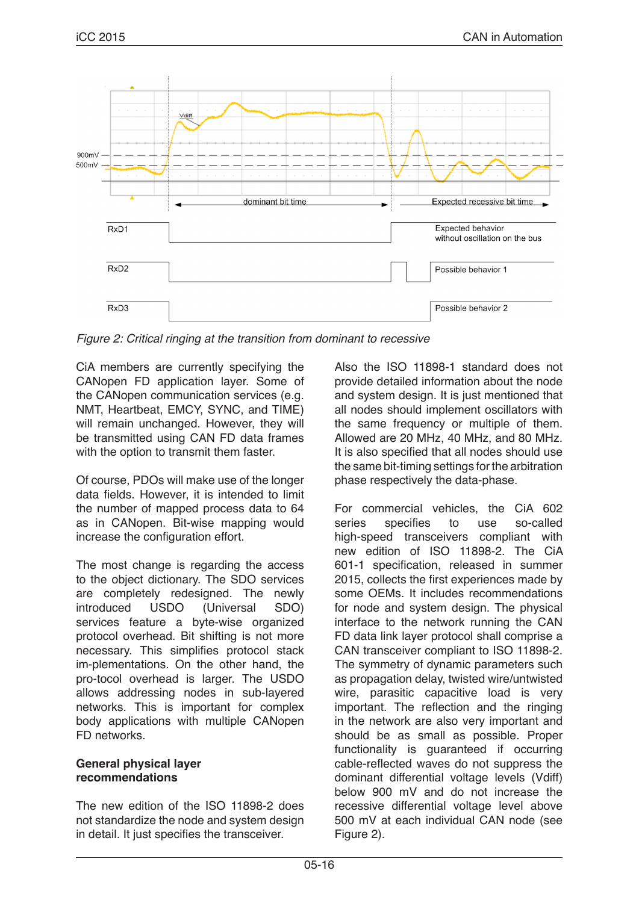

*Figure 2: Critical ringing at the transition from dominant to recessive*

CiA members are currently specifying the CANopen FD application layer. Some of the CANopen communication services (e.g. NMT, Heartbeat, EMCY, SYNC, and TIME) will remain unchanged. However, they will be transmitted using CAN FD data frames with the option to transmit them faster.

Of course, PDOs will make use of the longer data fields. However, it is intended to limit the number of mapped process data to 64 as in CANopen. Bit-wise mapping would increase the configuration effort.

The most change is regarding the access to the object dictionary. The SDO services are completely redesigned. The newly introduced USDO (Universal SDO) services feature a byte-wise organized protocol overhead. Bit shifting is not more necessary. This simplifies protocol stack im-plementations. On the other hand, the pro-tocol overhead is larger. The USDO allows addressing nodes in sub-layered networks. This is important for complex body applications with multiple CANopen FD networks.

## **General physical layer recommendations**

The new edition of the ISO 11898-2 does not standardize the node and system design in detail. It just specifies the transceiver.

Also the ISO 11898-1 standard does not provide detailed information about the node and system design. It is just mentioned that all nodes should implement oscillators with the same frequency or multiple of them. Allowed are 20 MHz, 40 MHz, and 80 MHz. It is also specified that all nodes should use the same bit-timing settings for the arbitration phase respectively the data-phase.

For commercial vehicles, the CiA 602<br>series specifies to use so-called specifies to use high-speed transceivers compliant with new edition of ISO 11898-2. The CiA 601-1 specification, released in summer 2015, collects the first experiences made by some OEMs. It includes recommendations for node and system design. The physical interface to the network running the CAN FD data link layer protocol shall comprise a CAN transceiver compliant to ISO 11898-2. The symmetry of dynamic parameters such as propagation delay, twisted wire/untwisted wire, parasitic capacitive load is very important. The reflection and the ringing in the network are also very important and should be as small as possible. Proper functionality is guaranteed if occurring cable-reflected waves do not suppress the dominant differential voltage levels (Vdiff) below 900 mV and do not increase the recessive differential voltage level above 500 mV at each individual CAN node (see Figure 2).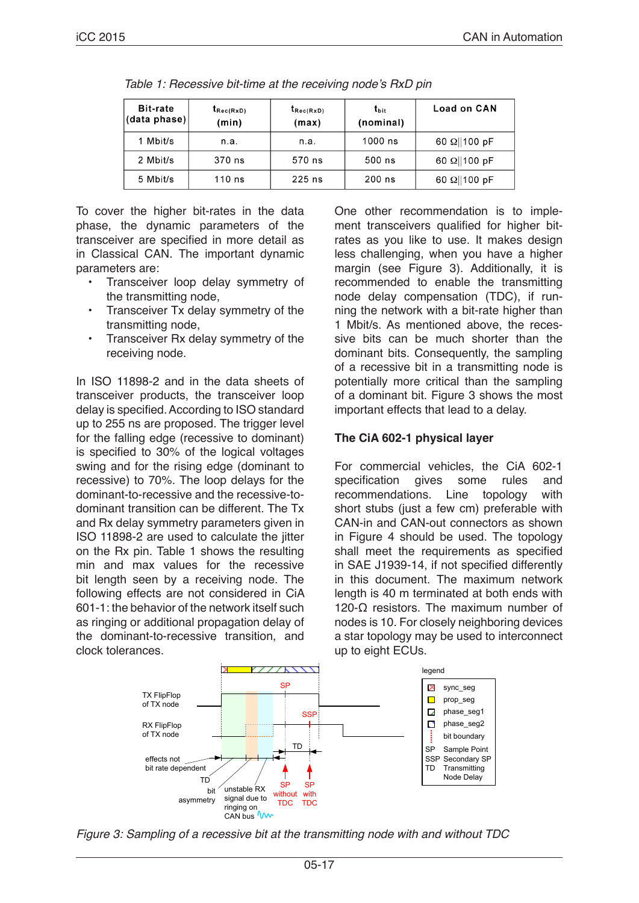| <b>Bit-rate</b><br>(data phase) | $t_{\text{Rec(RxD)}}$<br>(min) | $t_{\text{Rec}(\text{RxD})}$<br>(max) | $t_{\rm bit}$<br>(nominal) | <b>Load on CAN</b>   |  |
|---------------------------------|--------------------------------|---------------------------------------|----------------------------|----------------------|--|
| 1 Mbit/s                        | n.a.                           | n.a.                                  | 1000 ns                    | 60 $\Omega$   100 pF |  |
| 2 Mbit/s                        | 370 ns                         | 570 ns                                | 500 ns                     | 60 $\Omega$   100 pF |  |
| 5 Mbit/s                        | $110$ ns                       | $225$ ns                              | $200$ ns                   | 60 $\Omega$   100 pF |  |

Table 1: Recessive bit-time at the receiving node's RxD pin

To cover the higher bit-rates in the data phase, the dynamic parameters of the transceiver are specified in more detail as in Classical CAN. The important dynamic parameters are:

- Transceiver loop delay symmetry of the transmitting node,
- Transceiver Tx delay symmetry of the transmitting node,
- Transceiver Rx delay symmetry of the receiving node.

In ISO 11898-2 and in the data sheets of transceiver products, the transceiver loop delay is specified. According to ISO standard up to 255 ns are proposed. The trigger level for the falling edge (recessive to dominant) is specified to 30% of the logical voltages swing and for the rising edge (dominant to recessive) to 70%. The loop delays for the dominant-to-recessive and the recessive-todominant transition can be different. The Tx and Rx delay symmetry parameters given in ISO 11898-2 are used to calculate the jitter on the Rx pin. Table 1 shows the resulting min and max values for the recessive bit length seen by a receiving node. The following effects are not considered in CiA 601-1: the behavior of the network itself such as ringing or additional propagation delay of the dominant-to-recessive transition, and clock tolerances.

One other recommendation is to implement transceivers qualified for higher bitrates as you like to use. It makes design less challenging, when you have a higher margin (see Figure 3). Additionally, it is recommended to enable the transmitting node delay compensation (TDC), if running the network with a bit-rate higher than 1 Mbit/s. As mentioned above, the recessive bits can be much shorter than the dominant bits. Consequently, the sampling of a recessive bit in a transmitting node is potentially more critical than the sampling of a dominant bit. Figure 3 shows the most important effects that lead to a delay.

# **The CiA 602-1 physical layer**

For commercial vehicles, the CiA 602-1 specification gives some rules and recommendations. Line topology with short stubs (just a few cm) preferable with CAN-in and CAN-out connectors as shown in Figure 4 should be used. The topology shall meet the requirements as specified in SAE J1939-14, if not specified differently in this document. The maximum network length is 40 m terminated at both ends with 120-Ω resistors. The maximum number of nodes is 10. For closely neighboring devices a star topology may be used to interconnect up to eight ECUs.



*Figure 3: Sampling of a recessive bit at the transmitting node with and without TDC*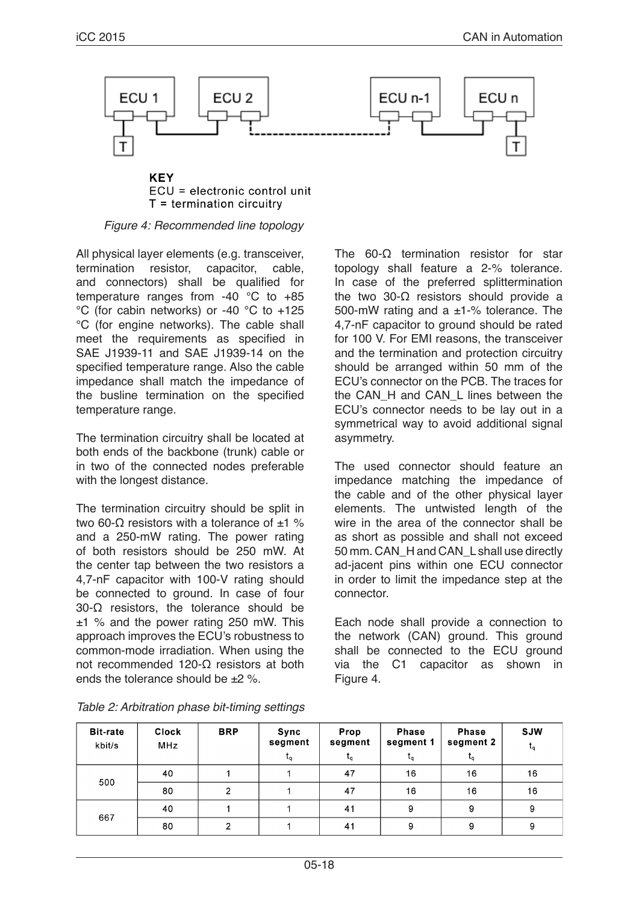

**KEY** ECU = electronic control unit  $T =$  termination circuitry

#### *Figure 4: Recommended line topology*

All physical layer elements (e.g. transceiver,<br>termination resistor, capacitor, cable, termination resistor, capacitor, cable, and connectors) shall be qualified for temperature ranges from -40 °C to +85 °C (for cabin networks) or -40 °C to +125 °C (for engine networks). The cable shall meet the requirements as specified in SAE J1939-11 and SAE J1939-14 on the specified temperature range. Also the cable impedance shall match the impedance of the busline termination on the specified temperature range.

The termination circuitry shall be located at both ends of the backbone (trunk) cable or in two of the connected nodes preferable with the longest distance.

The termination circuitry should be split in two 60-Ω resistors with a tolerance of  $±1$  % and a 250-mW rating. The power rating of both resistors should be 250 mW. At the center tap between the two resistors a 4,7-nF capacitor with 100-V rating should be connected to ground. In case of four 30-Ω resistors, the tolerance should be ±1 % and the power rating 250 mW. This approach improves the ECU's robustness to common-mode irradiation. When using the not recommended 120-Ω resistors at both ends the tolerance should be  $+2$  %.

The 60-Ω termination resistor for star topology shall feature a 2-% tolerance. In case of the preferred splittermination the two 30-Ω resistors should provide a 500-mW rating and a ±1-% tolerance. The 4,7-nF capacitor to ground should be rated for 100 V. For EMI reasons, the transceiver and the termination and protection circuitry should be arranged within 50 mm of the ECU's connector on the PCB. The traces for the CAN\_H and CAN\_L lines between the ECU's connector needs to be lay out in a symmetrical way to avoid additional signal asymmetry.

The used connector should feature an impedance matching the impedance of the cable and of the other physical layer elements. The untwisted length of the wire in the area of the connector shall be as short as possible and shall not exceed 50 mm. CAN\_H and CAN\_L shall use directly ad-jacent pins within one ECU connector in order to limit the impedance step at the connector.

Each node shall provide a connection to the network (CAN) ground. This ground shall be connected to the ECU ground via the C1 capacitor as shown in Figure 4.

| <b>Bit-rate</b><br>kbit/s | <b>Clock</b><br><b>MHz</b> | <b>BRP</b> | Sync<br>segment | Prop<br>segment | <b>Phase</b><br>segment 1 | <b>Phase</b><br>segment 2 | <b>SJW</b><br>$t_{q}$ |
|---------------------------|----------------------------|------------|-----------------|-----------------|---------------------------|---------------------------|-----------------------|
|                           |                            |            | ιq              | ιq              | $L_{q}$                   | $t_{q}$                   |                       |
| 500                       | 40                         |            |                 | 47              | 16                        | 16                        | 16                    |
|                           | 80                         |            |                 | 47              | 16                        | 16                        | 16                    |
| 667                       | 40                         |            |                 | 41              | 9                         | 9                         | 9                     |
|                           | 80                         |            |                 | 41              | 9                         | 9                         | 9                     |